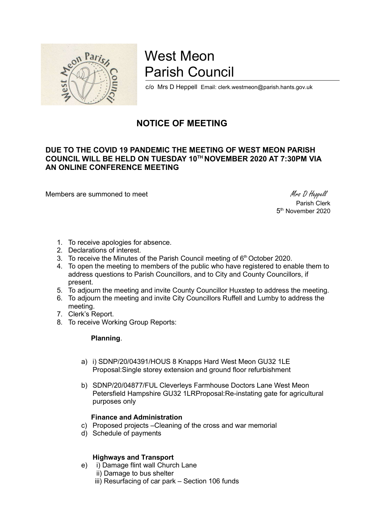

# West Meon Parish Council

c/o Mrs D Heppell Email: clerk.westmeon@parish.hants.gov.uk

# NOTICE OF MEETING

### DUE TO THE COVID 19 PANDEMIC THE MEETING OF WEST MEON PARISH COUNCIL WILL BE HELD ON TUESDAY 10TH NOVEMBER 2020 AT 7:30PM VIA AN ONLINE CONFERENCE MEETING

Members are summoned to meet Mess D Heppell

 Parish Clerk 5<sup>th</sup> November 2020

- 1. To receive apologies for absence.
- 2. Declarations of interest.
- 3. To receive the Minutes of the Parish Council meeting of  $6<sup>th</sup>$  October 2020.
- 4. To open the meeting to members of the public who have registered to enable them to address questions to Parish Councillors, and to City and County Councillors, if present.
- 5. To adjourn the meeting and invite County Councillor Huxstep to address the meeting.
- 6. To adjourn the meeting and invite City Councillors Ruffell and Lumby to address the meeting.
- 7. Clerk's Report.
- 8. To receive Working Group Reports:

#### Planning.

- a) i) SDNP/20/04391/HOUS 8 Knapps Hard West Meon GU32 1LE Proposal:Single storey extension and ground floor refurbishment
- b) SDNP/20/04877/FUL Cleverleys Farmhouse Doctors Lane West Meon Petersfield Hampshire GU32 1LRProposal:Re-instating gate for agricultural purposes only

#### Finance and Administration

- c) Proposed projects –Cleaning of the cross and war memorial
- d) Schedule of payments

#### Highways and Transport

- e) i) Damage flint wall Church Lane
	- ii) Damage to bus shelter
	- iii) Resurfacing of car park Section 106 funds